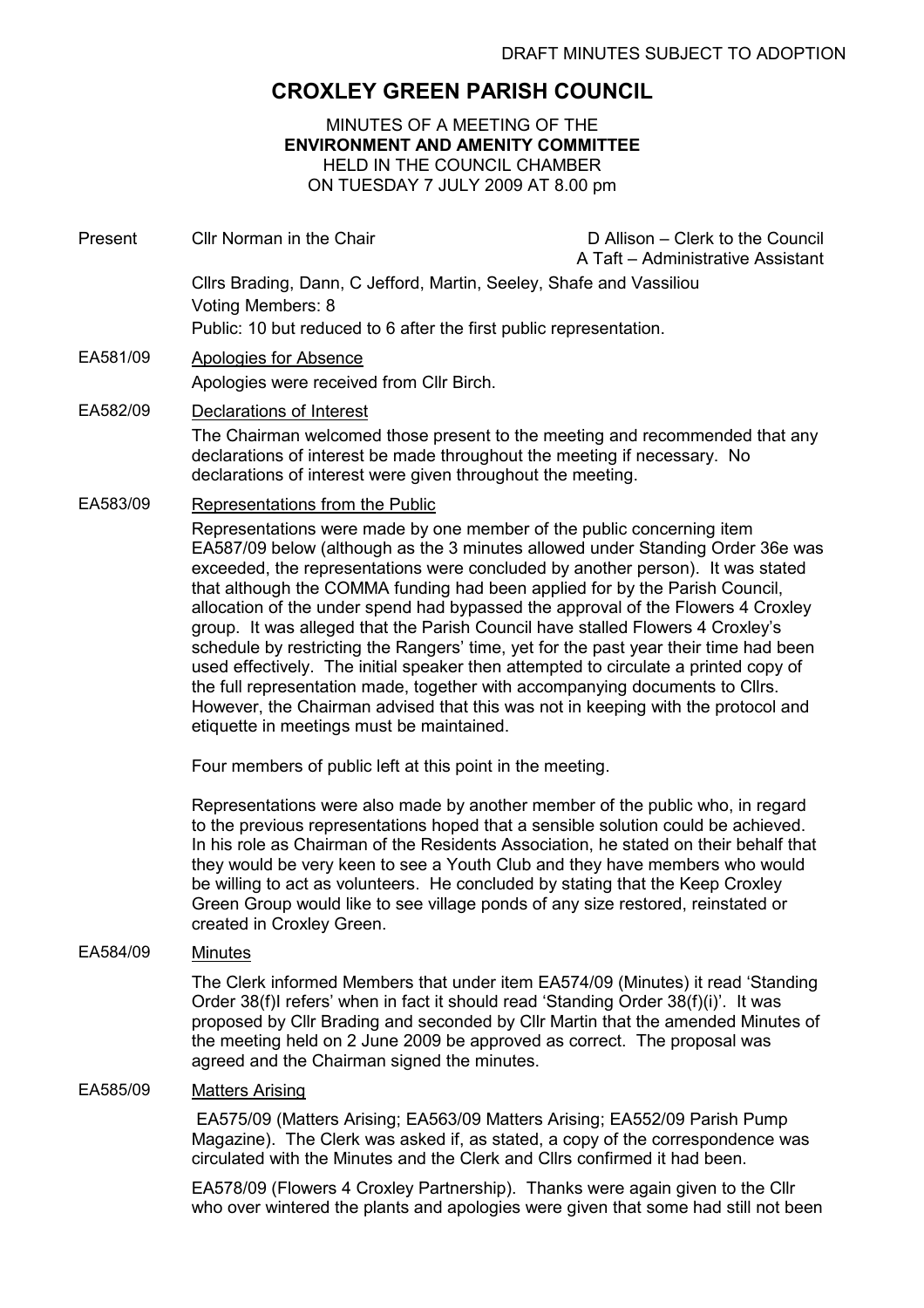# CROXLEY GREEN PARISH COUNCIL

MINUTES OF A MEETING OF THE ENVIRONMENT AND AMENITY COMMITTEE HELD IN THE COUNCIL CHAMBER ON TUESDAY 7 JULY 2009 AT 8.00 pm

| Present  | Cllr Norman in the Chair                                                                                                                                                                                                                                                                                                                                                                                                                                                                                                                                                                                                                                                                                                                                                                                                                                                                                                          | D Allison - Clerk to the Council<br>A Taft - Administrative Assistant |
|----------|-----------------------------------------------------------------------------------------------------------------------------------------------------------------------------------------------------------------------------------------------------------------------------------------------------------------------------------------------------------------------------------------------------------------------------------------------------------------------------------------------------------------------------------------------------------------------------------------------------------------------------------------------------------------------------------------------------------------------------------------------------------------------------------------------------------------------------------------------------------------------------------------------------------------------------------|-----------------------------------------------------------------------|
|          | Cllrs Brading, Dann, C Jefford, Martin, Seeley, Shafe and Vassiliou<br>Voting Members: 8                                                                                                                                                                                                                                                                                                                                                                                                                                                                                                                                                                                                                                                                                                                                                                                                                                          |                                                                       |
|          | Public: 10 but reduced to 6 after the first public representation.                                                                                                                                                                                                                                                                                                                                                                                                                                                                                                                                                                                                                                                                                                                                                                                                                                                                |                                                                       |
| EA581/09 | <b>Apologies for Absence</b><br>Apologies were received from Cllr Birch.                                                                                                                                                                                                                                                                                                                                                                                                                                                                                                                                                                                                                                                                                                                                                                                                                                                          |                                                                       |
| EA582/09 | Declarations of Interest                                                                                                                                                                                                                                                                                                                                                                                                                                                                                                                                                                                                                                                                                                                                                                                                                                                                                                          |                                                                       |
|          | The Chairman welcomed those present to the meeting and recommended that any<br>declarations of interest be made throughout the meeting if necessary. No<br>declarations of interest were given throughout the meeting.                                                                                                                                                                                                                                                                                                                                                                                                                                                                                                                                                                                                                                                                                                            |                                                                       |
| EA583/09 | Representations from the Public<br>Representations were made by one member of the public concerning item<br>EA587/09 below (although as the 3 minutes allowed under Standing Order 36e was<br>exceeded, the representations were concluded by another person). It was stated<br>that although the COMMA funding had been applied for by the Parish Council,<br>allocation of the under spend had bypassed the approval of the Flowers 4 Croxley<br>group. It was alleged that the Parish Council have stalled Flowers 4 Croxley's<br>schedule by restricting the Rangers' time, yet for the past year their time had been<br>used effectively. The initial speaker then attempted to circulate a printed copy of<br>the full representation made, together with accompanying documents to Cllrs.<br>However, the Chairman advised that this was not in keeping with the protocol and<br>etiquette in meetings must be maintained. |                                                                       |
|          |                                                                                                                                                                                                                                                                                                                                                                                                                                                                                                                                                                                                                                                                                                                                                                                                                                                                                                                                   |                                                                       |
|          | Four members of public left at this point in the meeting.                                                                                                                                                                                                                                                                                                                                                                                                                                                                                                                                                                                                                                                                                                                                                                                                                                                                         |                                                                       |
|          | Representations were also made by another member of the public who, in regard<br>to the previous representations hoped that a sensible solution could be achieved.<br>In his role as Chairman of the Residents Association, he stated on their behalf that<br>they would be very keen to see a Youth Club and they have members who would<br>be willing to act as volunteers. He concluded by stating that the Keep Croxley<br>Green Group would like to see village ponds of any size restored, reinstated or<br>created in Croxley Green.                                                                                                                                                                                                                                                                                                                                                                                       |                                                                       |
| EA584/09 | <b>Minutes</b>                                                                                                                                                                                                                                                                                                                                                                                                                                                                                                                                                                                                                                                                                                                                                                                                                                                                                                                    |                                                                       |
|          | The Clerk informed Members that under item EA574/09 (Minutes) it read 'Standing<br>Order 38(f)I refers' when in fact it should read 'Standing Order 38(f)(i)'. It was<br>proposed by Cllr Brading and seconded by Cllr Martin that the amended Minutes of<br>the meeting held on 2 June 2009 be approved as correct. The proposal was<br>agreed and the Chairman signed the minutes.                                                                                                                                                                                                                                                                                                                                                                                                                                                                                                                                              |                                                                       |
| EA585/09 | <b>Matters Arising</b>                                                                                                                                                                                                                                                                                                                                                                                                                                                                                                                                                                                                                                                                                                                                                                                                                                                                                                            |                                                                       |

 EA575/09 (Matters Arising; EA563/09 Matters Arising; EA552/09 Parish Pump Magazine). The Clerk was asked if, as stated, a copy of the correspondence was circulated with the Minutes and the Clerk and Cllrs confirmed it had been.

EA578/09 (Flowers 4 Croxley Partnership). Thanks were again given to the Cllr who over wintered the plants and apologies were given that some had still not been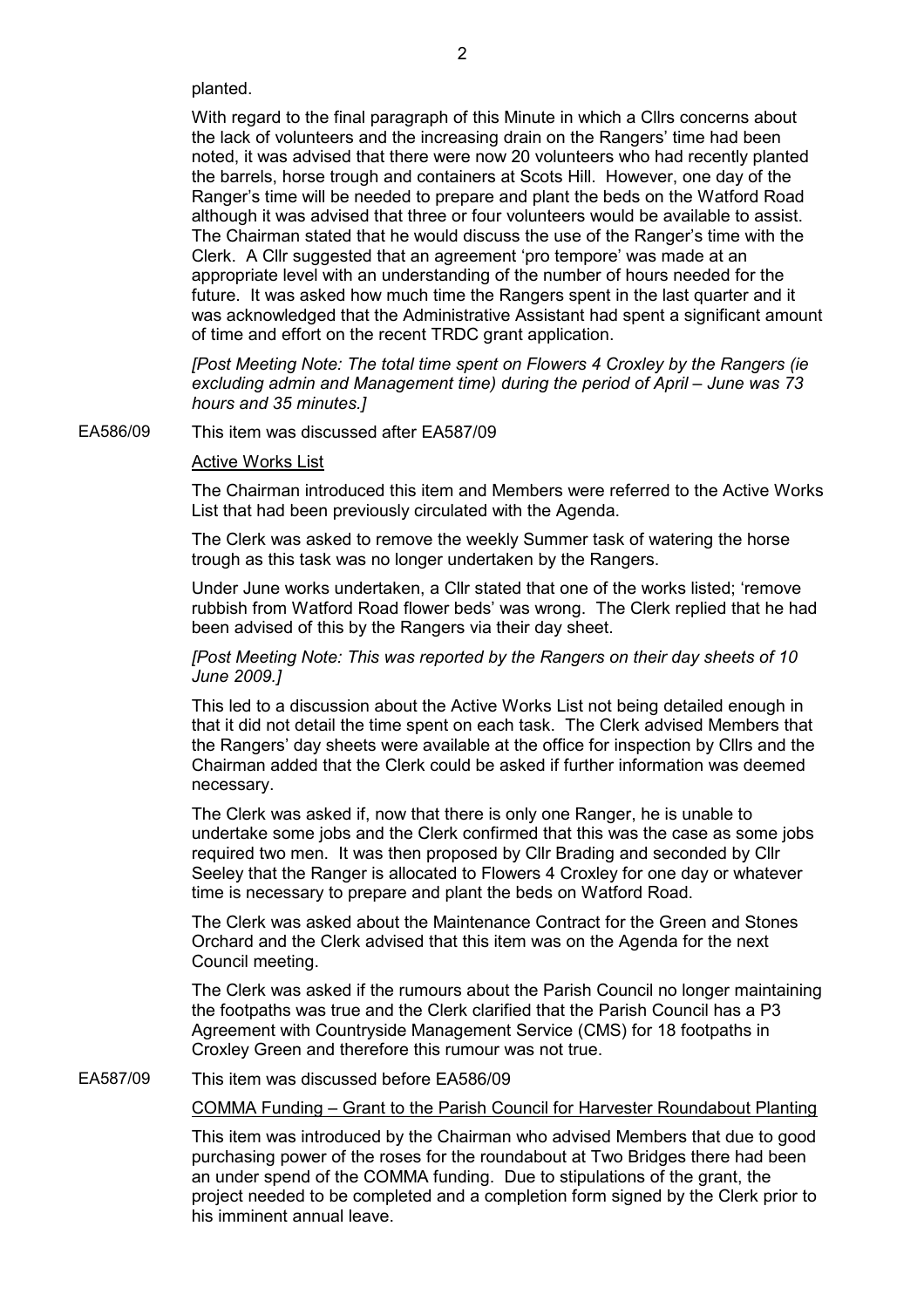planted.

With regard to the final paragraph of this Minute in which a Cllrs concerns about the lack of volunteers and the increasing drain on the Rangers' time had been noted, it was advised that there were now 20 volunteers who had recently planted the barrels, horse trough and containers at Scots Hill. However, one day of the Ranger's time will be needed to prepare and plant the beds on the Watford Road although it was advised that three or four volunteers would be available to assist. The Chairman stated that he would discuss the use of the Ranger's time with the Clerk. A Cllr suggested that an agreement 'pro tempore' was made at an appropriate level with an understanding of the number of hours needed for the future. It was asked how much time the Rangers spent in the last quarter and it was acknowledged that the Administrative Assistant had spent a significant amount of time and effort on the recent TRDC grant application.

[Post Meeting Note: The total time spent on Flowers 4 Croxley by the Rangers (ie excluding admin and Management time) during the period of April – June was 73 hours and 35 minutes.]

EA586/09 This item was discussed after EA587/09

#### Active Works List

The Chairman introduced this item and Members were referred to the Active Works List that had been previously circulated with the Agenda.

The Clerk was asked to remove the weekly Summer task of watering the horse trough as this task was no longer undertaken by the Rangers.

Under June works undertaken, a Cllr stated that one of the works listed; 'remove rubbish from Watford Road flower beds' was wrong. The Clerk replied that he had been advised of this by the Rangers via their day sheet.

# [Post Meeting Note: This was reported by the Rangers on their day sheets of 10 June 2009.]

This led to a discussion about the Active Works List not being detailed enough in that it did not detail the time spent on each task. The Clerk advised Members that the Rangers' day sheets were available at the office for inspection by Cllrs and the Chairman added that the Clerk could be asked if further information was deemed necessary.

The Clerk was asked if, now that there is only one Ranger, he is unable to undertake some jobs and the Clerk confirmed that this was the case as some jobs required two men. It was then proposed by Cllr Brading and seconded by Cllr Seeley that the Ranger is allocated to Flowers 4 Croxley for one day or whatever time is necessary to prepare and plant the beds on Watford Road.

The Clerk was asked about the Maintenance Contract for the Green and Stones Orchard and the Clerk advised that this item was on the Agenda for the next Council meeting.

The Clerk was asked if the rumours about the Parish Council no longer maintaining the footpaths was true and the Clerk clarified that the Parish Council has a P3 Agreement with Countryside Management Service (CMS) for 18 footpaths in Croxley Green and therefore this rumour was not true.

EA587/09 This item was discussed before EA586/09

# COMMA Funding – Grant to the Parish Council for Harvester Roundabout Planting

This item was introduced by the Chairman who advised Members that due to good purchasing power of the roses for the roundabout at Two Bridges there had been an under spend of the COMMA funding. Due to stipulations of the grant, the project needed to be completed and a completion form signed by the Clerk prior to his imminent annual leave.